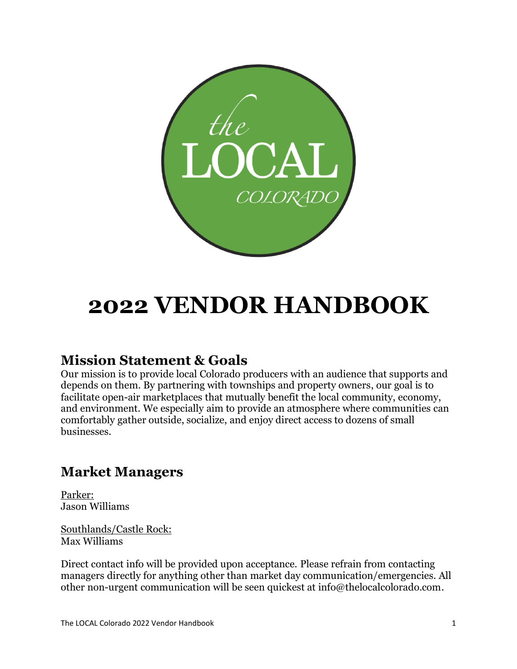

# **2022 VENDOR HANDBOOK**

### **Mission Statement & Goals**

Our mission is to provide local Colorado producers with an audience that supports and depends on them. By partnering with townships and property owners, our goal is to facilitate open-air marketplaces that mutually benefit the local community, economy, and environment. We especially aim to provide an atmosphere where communities can comfortably gather outside, socialize, and enjoy direct access to dozens of small businesses.

### **Market Managers**

Parker: Jason Williams

Southlands/Castle Rock: Max Williams

Direct contact info will be provided upon acceptance. Please refrain from contacting managers directly for anything other than market day communication/emergencies. All other non-urgent communication will be seen quickest at info@thelocalcolorado.com.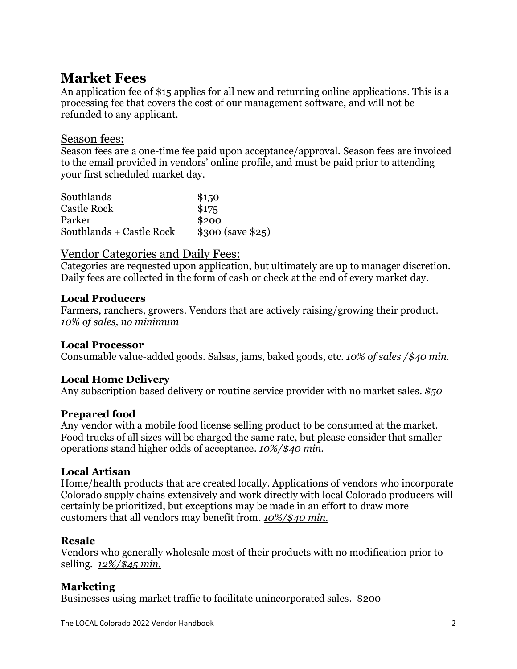### **Market Fees**

An application fee of \$15 applies for all new and returning online applications. This is a processing fee that covers the cost of our management software, and will not be refunded to any applicant.

### Season fees:

Season fees are a one-time fee paid upon acceptance/approval. Season fees are invoiced to the email provided in vendors' online profile, and must be paid prior to attending your first scheduled market day.

| Southlands               | \$150              |
|--------------------------|--------------------|
| Castle Rock              | \$175              |
| Parker                   | \$200              |
| Southlands + Castle Rock | $$300$ (save \$25) |

### Vendor Categories and Daily Fees:

Categories are requested upon application, but ultimately are up to manager discretion. Daily fees are collected in the form of cash or check at the end of every market day.

### **Local Producers**

Farmers, ranchers, growers. Vendors that are actively raising/growing their product. *10% of sales, no minimum*

### **Local Processor**

Consumable value-added goods. Salsas, jams, baked goods, etc. *10% of sales /\$40 min.*

### **Local Home Delivery**

Any subscription based delivery or routine service provider with no market sales. *\$50*

### **Prepared food**

Any vendor with a mobile food license selling product to be consumed at the market. Food trucks of all sizes will be charged the same rate, but please consider that smaller operations stand higher odds of acceptance. *10%/\$40 min.*

### **Local Artisan**

Home/health products that are created locally. Applications of vendors who incorporate Colorado supply chains extensively and work directly with local Colorado producers will certainly be prioritized, but exceptions may be made in an effort to draw more customers that all vendors may benefit from. *10%/\$40 min.*

### **Resale**

Vendors who generally wholesale most of their products with no modification prior to selling. *12%/\$45 min.*

### **Marketing**

Businesses using market traffic to facilitate unincorporated sales. \$200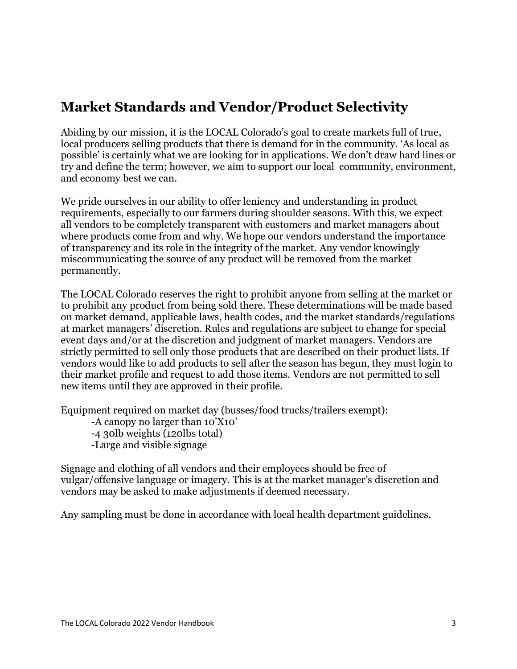### **Market Standards and Vendor/Product Selectivity**

Abiding by our mission, it is the LOCAL Colorado's goal to create markets full of true, local producers selling products that there is demand for in the community. 'As local as possible' is certainly what we are looking for in applications. We don't draw hard lines or try and define the term; however, we aim to support our local community, environment, and economy best we can.

We pride ourselves in our ability to offer leniency and understanding in product requirements, especially to our farmers during shoulder seasons. With this, we expect all vendors to be completely transparent with customers and market managers about where products come from and why. We hope our vendors understand the importance of transparency and its role in the integrity of the market. Any vendor knowingly miscommunicating the source of any product will be removed from the market permanently.

The LOCAL Colorado reserves the right to prohibit anyone from selling at the market or to prohibit any product from being sold there. These determinations will be made based on market demand, applicable laws, health codes, and the market standards/regulations at market managers' discretion. Rules and regulations are subject to change for special event days and/or at the discretion and judgment of market managers. Vendors are strictly permitted to sell only those products that are described on their product lists. If vendors would like to add products to sell after the season has begun, they must login to their market profile and request to add those items. Vendors are not permitted to sell new items until they are approved in their profile.

Equipment required on market day (busses/food trucks/trailers exempt):

-A canopy no larger than 10'X10'

- -4 30lb weights (120lbs total)
- -Large and visible signage

Signage and clothing of all vendors and their employees should be free of vulgar/offensive language or imagery. This is at the market manager's discretion and vendors may be asked to make adjustments if deemed necessary.

Any sampling must be done in accordance with local health department guidelines.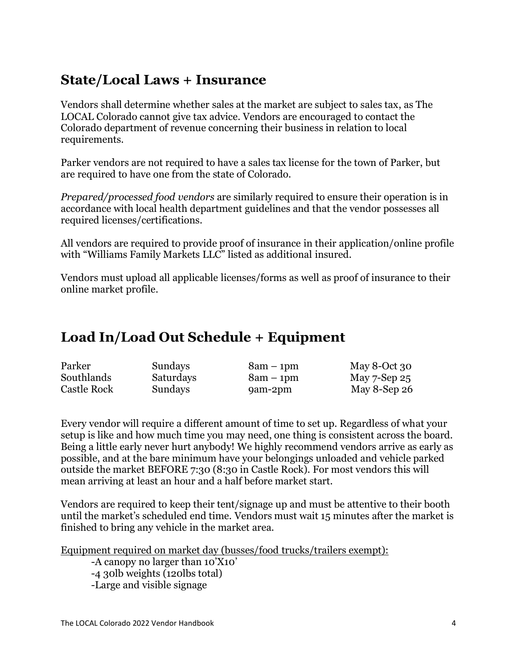### **State/Local Laws + Insurance**

Vendors shall determine whether sales at the market are subject to sales tax, as The LOCAL Colorado cannot give tax advice. Vendors are encouraged to contact the Colorado department of revenue concerning their business in relation to local requirements.

Parker vendors are not required to have a sales tax license for the town of Parker, but are required to have one from the state of Colorado.

*Prepared/processed food vendors* are similarly required to ensure their operation is in accordance with local health department guidelines and that the vendor possesses all required licenses/certifications.

All vendors are required to provide proof of insurance in their application/online profile with "Williams Family Markets LLC" listed as additional insured.

Vendors must upload all applicable licenses/forms as well as proof of insurance to their online market profile.

### **Load In/Load Out Schedule + Equipment**

| Parker      | Sundays   | $8am - 1pm$ | May 8-Oct $30$    |
|-------------|-----------|-------------|-------------------|
| Southlands  | Saturdays | $8am - 1pm$ | May $7$ -Sep $25$ |
| Castle Rock | Sundays   | 9am-2pm     | May 8-Sep $26$    |

Every vendor will require a different amount of time to set up. Regardless of what your setup is like and how much time you may need, one thing is consistent across the board. Being a little early never hurt anybody! We highly recommend vendors arrive as early as possible, and at the bare minimum have your belongings unloaded and vehicle parked outside the market BEFORE 7:30 (8:30 in Castle Rock). For most vendors this will mean arriving at least an hour and a half before market start.

Vendors are required to keep their tent/signage up and must be attentive to their booth until the market's scheduled end time. Vendors must wait 15 minutes after the market is finished to bring any vehicle in the market area.

Equipment required on market day (busses/food trucks/trailers exempt):

-A canopy no larger than 10'X10' -4 30lb weights (120lbs total) -Large and visible signage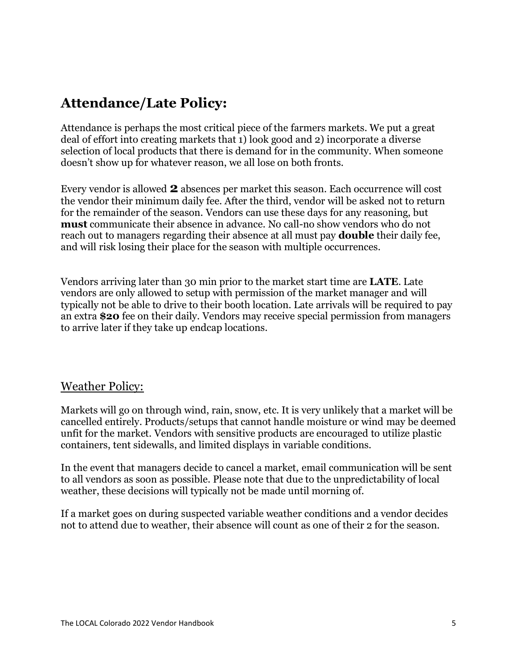## **Attendance/Late Policy:**

Attendance is perhaps the most critical piece of the farmers markets. We put a great deal of effort into creating markets that 1) look good and 2) incorporate a diverse selection of local products that there is demand for in the community. When someone doesn't show up for whatever reason, we all lose on both fronts.

Every vendor is allowed **2** absences per market this season. Each occurrence will cost the vendor their minimum daily fee. After the third, vendor will be asked not to return for the remainder of the season. Vendors can use these days for any reasoning, but **must** communicate their absence in advance. No call-no show vendors who do not reach out to managers regarding their absence at all must pay **double** their daily fee, and will risk losing their place for the season with multiple occurrences.

Vendors arriving later than 30 min prior to the market start time are **LATE**. Late vendors are only allowed to setup with permission of the market manager and will typically not be able to drive to their booth location. Late arrivals will be required to pay an extra **\$20** fee on their daily. Vendors may receive special permission from managers to arrive later if they take up endcap locations.

### Weather Policy:

Markets will go on through wind, rain, snow, etc. It is very unlikely that a market will be cancelled entirely. Products/setups that cannot handle moisture or wind may be deemed unfit for the market. Vendors with sensitive products are encouraged to utilize plastic containers, tent sidewalls, and limited displays in variable conditions.

In the event that managers decide to cancel a market, email communication will be sent to all vendors as soon as possible. Please note that due to the unpredictability of local weather, these decisions will typically not be made until morning of.

If a market goes on during suspected variable weather conditions and a vendor decides not to attend due to weather, their absence will count as one of their 2 for the season.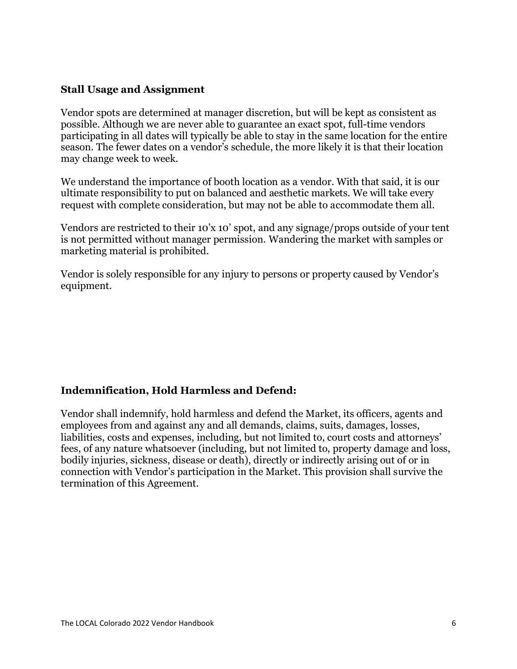#### **Stall Usage and Assignment**

Vendor spots are determined at manager discretion, but will be kept as consistent as possible. Although we are never able to guarantee an exact spot, full-time vendors participating in all dates will typically be able to stay in the same location for the entire season. The fewer dates on a vendor's schedule, the more likely it is that their location may change week to week.

We understand the importance of booth location as a vendor. With that said, it is our ultimate responsibility to put on balanced and aesthetic markets. We will take every request with complete consideration, but may not be able to accommodate them all.

Vendors are restricted to their 10'x 10' spot, and any signage/props outside of your tent is not permitted without manager permission. Wandering the market with samples or marketing material is prohibited.

Vendor is solely responsible for any injury to persons or property caused by Vendor's equipment.

### **Indemnification, Hold Harmless and Defend:**

Vendor shall indemnify, hold harmless and defend the Market, its officers, agents and employees from and against any and all demands, claims, suits, damages, losses, liabilities, costs and expenses, including, but not limited to, court costs and attorneys' fees, of any nature whatsoever (including, but not limited to, property damage and loss, bodily injuries, sickness, disease or death), directly or indirectly arising out of or in connection with Vendor's participation in the Market. This provision shall survive the termination of this Agreement.